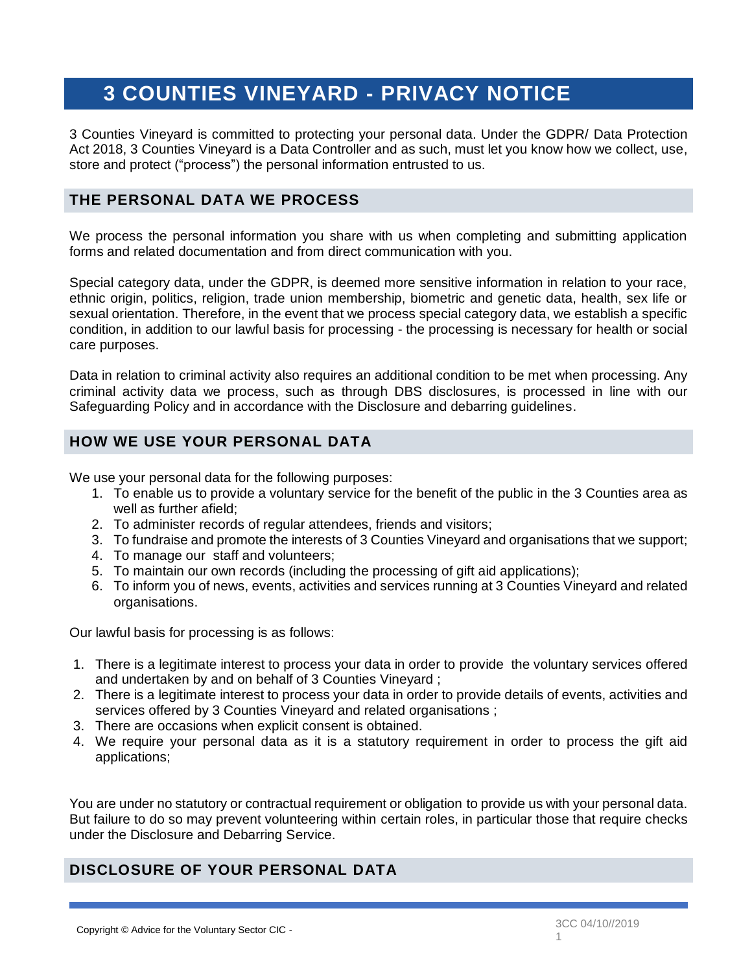# **3 COUNTIES VINEYARD - PRIVACY NOTICE**

3 Counties Vineyard is committed to protecting your personal data. Under the GDPR/ Data Protection Act 2018, 3 Counties Vineyard is a Data Controller and as such, must let you know how we collect, use, store and protect ("process") the personal information entrusted to us.

## **THE PERSONAL DATA WE PROCESS**

We process the personal information you share with us when completing and submitting application forms and related documentation and from direct communication with you.

Special category data, under the GDPR, is deemed more sensitive information in relation to your race, ethnic origin, politics, religion, trade union membership, biometric and genetic data, health, sex life or sexual orientation. Therefore, in the event that we process special category data, we establish a specific condition, in addition to our lawful basis for processing - the processing is necessary for health or social care purposes.

Data in relation to criminal activity also requires an additional condition to be met when processing. Any criminal activity data we process, such as through DBS disclosures, is processed in line with our Safeguarding Policy and in accordance with the Disclosure and debarring guidelines.

# **HOW WE USE YOUR PERSONAL DATA**

We use your personal data for the following purposes:

- 1. To enable us to provide a voluntary service for the benefit of the public in the 3 Counties area as well as further afield;
- 2. To administer records of regular attendees, friends and visitors;
- 3. To fundraise and promote the interests of 3 Counties Vineyard and organisations that we support;
- 4. To manage our staff and volunteers;
- 5. To maintain our own records (including the processing of gift aid applications);
- 6. To inform you of news, events, activities and services running at 3 Counties Vineyard and related organisations.

Our lawful basis for processing is as follows:

- 1. There is a legitimate interest to process your data in order to provide the voluntary services offered and undertaken by and on behalf of 3 Counties Vineyard ;
- 2. There is a legitimate interest to process your data in order to provide details of events, activities and services offered by 3 Counties Vineyard and related organisations ;
- 3. There are occasions when explicit consent is obtained.
- 4. We require your personal data as it is a statutory requirement in order to process the gift aid applications;

You are under no statutory or contractual requirement or obligation to provide us with your personal data. But failure to do so may prevent volunteering within certain roles, in particular those that require checks under the Disclosure and Debarring Service.

## **DISCLOSURE OF YOUR PERSONAL DATA**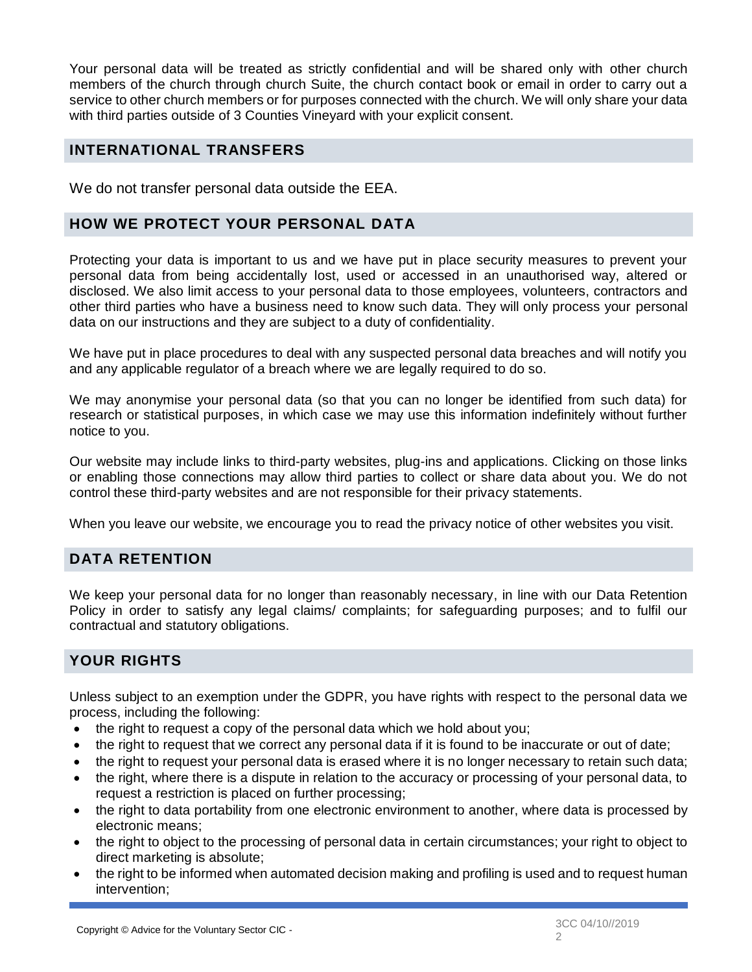Your personal data will be treated as strictly confidential and will be shared only with other church members of the church through church Suite, the church contact book or email in order to carry out a service to other church members or for purposes connected with the church. We will only share your data with third parties outside of 3 Counties Vineyard with your explicit consent.

#### **INTERNATIONAL TRANSFERS**

We do not transfer personal data outside the EEA.

#### **HOW WE PROTECT YOUR PERSONAL DATA**

Protecting your data is important to us and we have put in place security measures to prevent your personal data from being accidentally lost, used or accessed in an unauthorised way, altered or disclosed. We also limit access to your personal data to those employees, volunteers, contractors and other third parties who have a business need to know such data. They will only process your personal data on our instructions and they are subject to a duty of confidentiality.

We have put in place procedures to deal with any suspected personal data breaches and will notify you and any applicable regulator of a breach where we are legally required to do so.

We may anonymise your personal data (so that you can no longer be identified from such data) for research or statistical purposes, in which case we may use this information indefinitely without further notice to you.

Our website may include links to third-party websites, plug-ins and applications. Clicking on those links or enabling those connections may allow third parties to collect or share data about you. We do not control these third-party websites and are not responsible for their privacy statements.

When you leave our website, we encourage you to read the privacy notice of other websites you visit.

## **DATA RETENTION**

We keep your personal data for no longer than reasonably necessary, in line with our Data Retention Policy in order to satisfy any legal claims/ complaints; for safeguarding purposes; and to fulfil our contractual and statutory obligations.

# **YOUR RIGHTS**

Unless subject to an exemption under the GDPR, you have rights with respect to the personal data we process, including the following:

- the right to request a copy of the personal data which we hold about you;
- the right to request that we correct any personal data if it is found to be inaccurate or out of date;
- the right to request your personal data is erased where it is no longer necessary to retain such data;
- the right, where there is a dispute in relation to the accuracy or processing of your personal data, to request a restriction is placed on further processing;
- the right to data portability from one electronic environment to another, where data is processed by electronic means;
- the right to object to the processing of personal data in certain circumstances; your right to object to direct marketing is absolute;
- the right to be informed when automated decision making and profiling is used and to request human intervention;